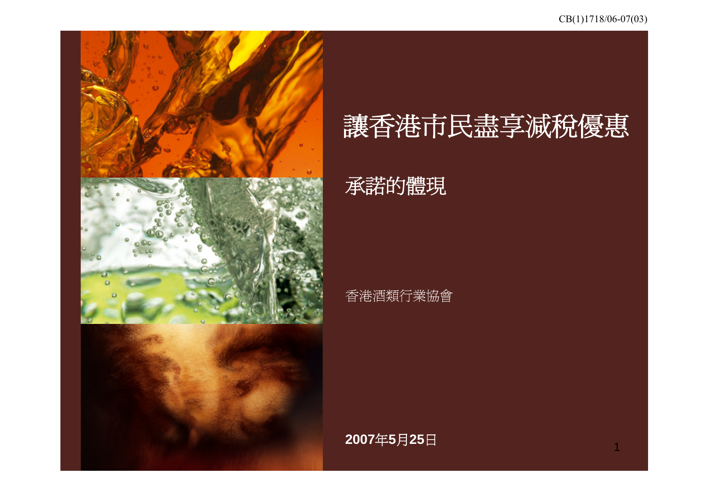

# 讓香港市民盡享減稅優惠

# 承諾的體現

#### 香港酒類行業協會

**2007** 年 **5** 月**25** 日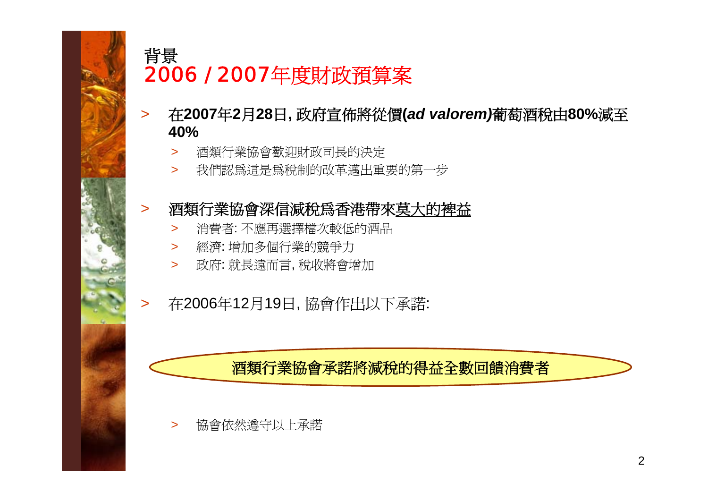

## 背景 2006 / 2007年度財政預算案

- $\geq$  在**2007**年**2**月**28**日**,** 政府宣佈將從價**(***ad valorem)*葡萄酒稅由**80%**減至 **40%**
	- $\geq$ 酒類行業協會歡迎財政司長的決定
	- $\geq$ 我們認為這是為稅制的改革邁出重要的第一步

#### >酒類行業協會深信減稅為香港帶來莫大的裨益

- $\geq$ 消費者: 不應再選擇檔次較低的酒品
- > 經濟: 增加多個行業的競爭力
- > 政府: 就長遠而言, 稅收將會增加
- >在2006年12月19日, 協會作出以下承諾:

## 酒類行業協會承諾將減稅的得益全數回饋消費者

>協會依然遵守以上承諾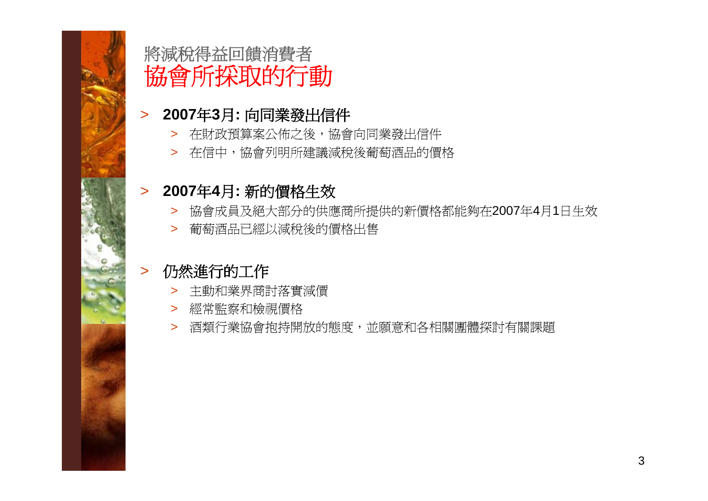

# 將減稅得益回饋消費者 協會所採取的行動

## > **2007**年**3**月**:** 向同業發出信件

- > 在財政預算案公佈之後,協會向同業發出信件
- > 在信中,協會列明所建議減稅後葡萄酒品的價格

## > **2007**年**4**月**:** 新的價格生效

- > 協會成員及絕大部分的供應商所提供的新價格都能夠在2007年4月1日生效
- > 葡萄酒品已經以減稅後的價格出售

#### $\geq$ 仍然進行的工作

- > 主動和業界商討落實減價
- > 經常監察和檢視價格
- > 酒類行業協會抱持開放的態度,並願意和各相關團體探討有關課題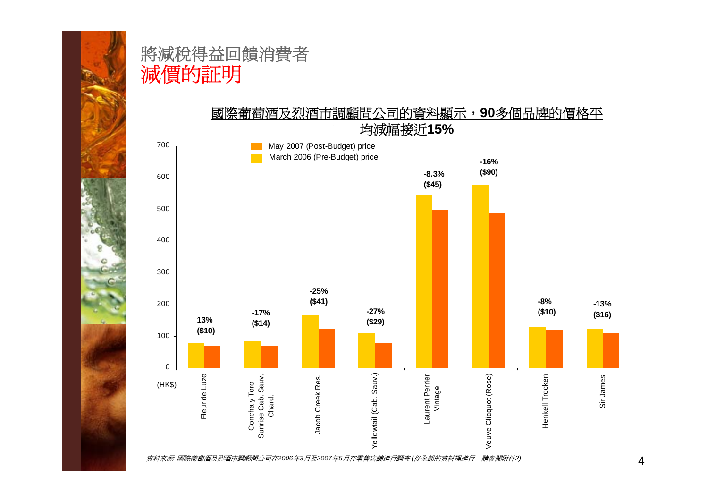

## 將減稅得益回饋消費者 減價的証明

國際葡萄酒及烈酒市調顧問公司的資料顯示,**90**多個品牌的價格平 均減幅接近**15%**

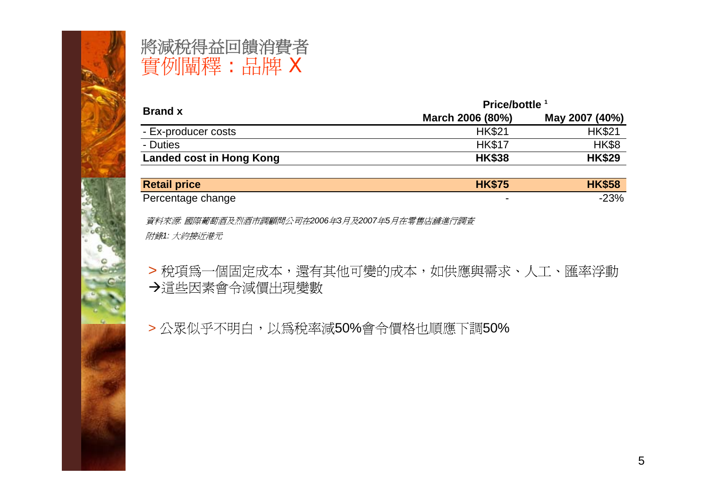

# 將減稅得益回饋消費者 實例闡釋 : 品牌 <sup>X</sup>

| <b>Brand x</b>           | Price/bottle <sup>1</sup> |                |  |  |
|--------------------------|---------------------------|----------------|--|--|
|                          | March 2006 (80%)          | May 2007 (40%) |  |  |
| - Ex-producer costs      | <b>HK\$21</b>             | <b>HK\$21</b>  |  |  |
| - Duties                 | <b>HK\$17</b>             | <b>HK\$8</b>   |  |  |
| Landed cost in Hong Kong | <b>HK\$38</b>             | <b>HK\$29</b>  |  |  |

| <b>Retail price</b> | <b>HK\$75</b> | <b>HK\$58</b> |
|---------------------|---------------|---------------|
| Percentage change   |               | $-23%$        |

資料來源*:* 國際葡萄酒及烈酒市調顧問公司在*2006*年*3*月及*2007*年*5*月在零售店舖進行調查 附錄*1:* 大約接近港元

> 稅項為一個固定成本,還有其他可變的成本,如供應與需求、人工、匯率浮動 Æ這些因素會令減價出現變數

> 公眾似乎不明白,以為稅率減50%會令價格也順應下調50%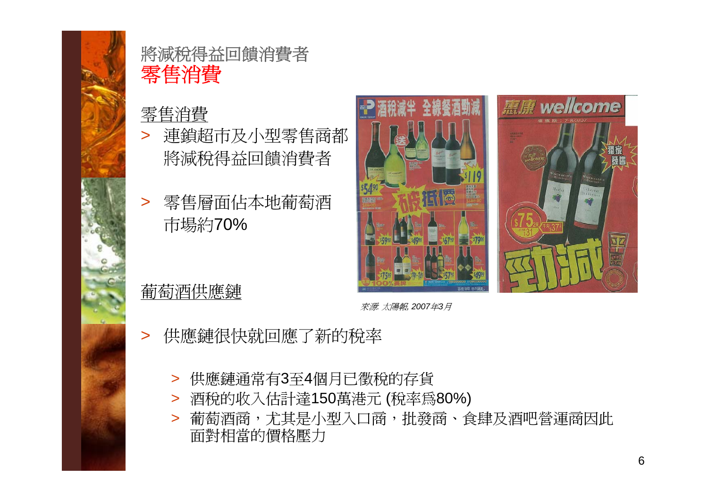

## 將減稅得益回饋消費者 零售消費

## 零售消費

- > 連鎖超市及小型零售商都 將減稅得益回饋消費者
- > 零售層面佔本地葡萄酒 市場約70%



葡萄酒供應鏈

來源*:* 太陽報*, 2007*年*3*月

- $\geq$  供應鏈很快就回應了新的稅率
	- > 供應鏈通常有3至4個月已徵稅的存貨
	- > 酒稅的收入估計達150萬港元 (稅率為80%)
	- > 葡萄酒商,尤其是小型入口商,批發商、食肆及酒吧營運商因此 面對相當的價格壓力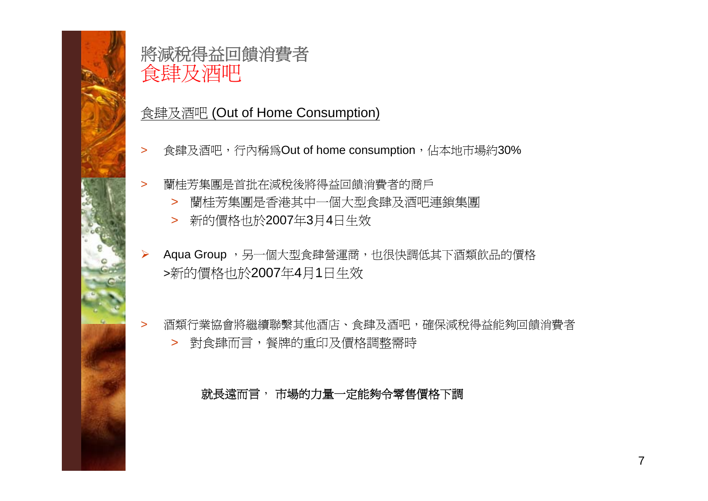

## 將減稅得益回饋消費者 食肆及酒吧

## 食肆及酒吧 (Out of Home Consumption)

- $\geq$ 食肆及酒吧,行內稱為Out of home consumption,佔本地市場約30%
- > 蘭桂芳集團是首批在減稅後將得益回饋消費者的商戶
	- > 蘭桂芳集團是香港其中一個大型食肆及酒吧連鎖集團
	- > 新的價格也於2007年3月4日生效
- ¾Aqua Group , 另一個大型食肆營運商, 也很快調低其下酒類飲品的價格 <sup>&</sup>gt;新的價格也於2007年4月1日生效
- > 酒類行業協會將繼續聯繫其他酒店、食肆及酒吧,確保減稅得益能夠回饋消費者 > 對食肆而言,餐牌的重印及價格調整需時

就長遠而言, 市場的力量一定能夠令零售價格下調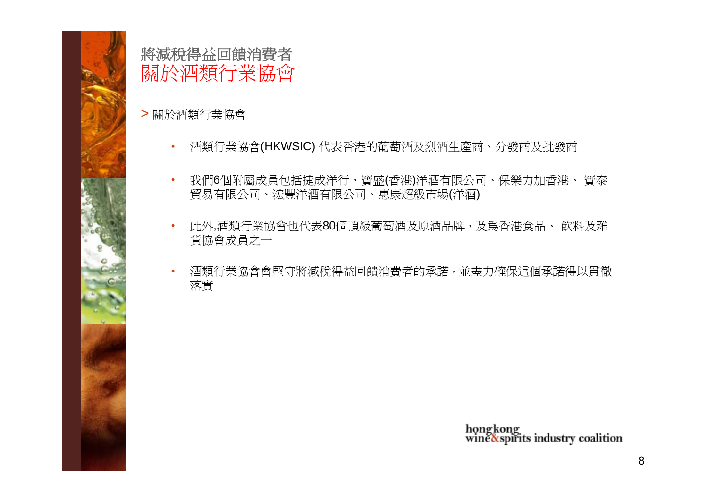

## 將減稅得益回饋消費者 關於酒類行業協會

#### > 關於酒類行業協會

- •酒類行業協會(HKWSIC) 代表香港的葡萄酒及烈酒生產商、分發商及批發商
- • 我們6個附屬成員包括捷成洋行、寶盛(香港)洋酒有限公司、保樂力加香港、 寶泰 貿易有限公司、浤豐洋酒有限公司、惠康超級市場(洋酒)
- • 此外,酒類行業協會也代表80個頂級葡萄酒及原酒品牌,及為香港食品、 飲料及雜 貨協會成員之一
- • 酒類行業協會會堅守將減稅得益回饋消費者的承諾,並盡力確保這個承諾得以貫徹 落實

hongkong<br>wine&spirits industry coalition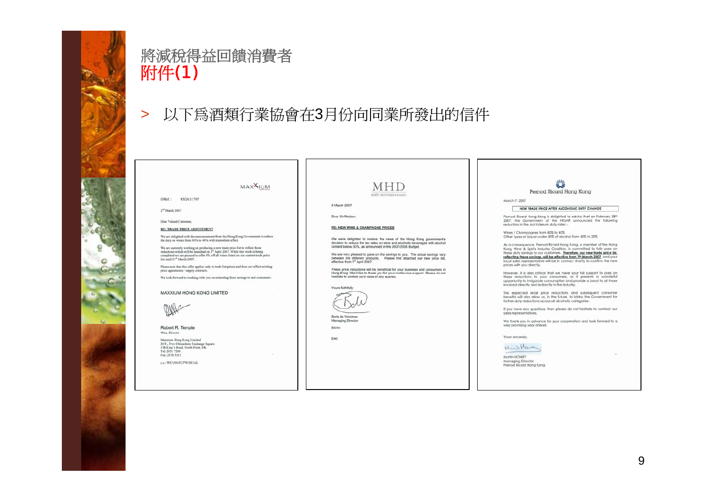

## 將減稅得益回饋消費者 附件(1)

#### 以下爲酒類行業協會在3月份向同業所發出的信件  $\geq$



Dear Valued Customer

**RE: TRADE PRICE ADJUSTMENT** 

We are delighted with the announcement from the Hong Kong Government to reduce the duty on wines from 80% to 40% with immediate affect.

**MAX**IUM

We are currently working on producing a new trade price list to reflect those reductions which will be launched on  $1^{\rm m}$  April 2007. While this work is being completed we are pleased to offer 8% off all wines listed on

Please note that this offer applies only to trade list prices and does not affect existing price agreements / supply contracts

We look forward to working with you on extending these savings to end consumers.

MAXXIUM HONG KONG LIMITED



Robert R. Temple Wine Dire

Maxxium Hong Kong Limited<br>20/F., Two Chinachem Exchange Square<br>338 King's Road, North Point, HK Tel: 2831 7206 Fax: 2576 3315

c.c.: WC/AN/JC/PW/SC/AL

#### **MHD** MOPT HENNESSY DIAGE

#### 9 March 2007

Dear Circle Ladons

**RE: NEW WINE & CHAMPAGNE PRICES** 

We were delighted to receive the news of the Hong Kong government's decision to reduce the tax rates on wine and alcoholic beverages with alcohol content below 30%, as announced in the 2007/2008 Budget.

We are very pleased to pass on the savings to you. The actual savings vary<br>between the different products. Please find attached our new price list,<br>effective from 1<sup>st</sup> April 2007.

These price reductions will be beneficial for your business and consumers in<br>Hong Kong. We'd like to thank you for your continuous support. Please do not<br>hesitate to contact us in case of any queries.



Managing Director BoWm

Encl

#### 警 Pernod Ricard Hong Kong

#### March 7, 2007

NEW TRADE PRICE AFTER ALCOHOLIC DUTY CHANGE

Pernod Ricard Hong Kong is delighted to advise that on February 28th<br>2007, the Government of the HKSAR announced the following<br>reduction in the Ad-Volerum duty rates: -

Wines / Champagnes from 80% to 40% Other types of Liquar under 30% of alcohol from 40% to 20%

As a consequence, Pernod Ricard Hong Kong, a member of the Hong<br>Kong Wine & Spirits Industry Coalition, is committed to fully pass on<br>these duty savings to our customers. Therefore, our new trade price list, reflecting these sovings to during the effective from 7th March 2007, and your<br>cocal soles representative will be in contact shortly to confirm the new prices with you directly.

However, it is also critical that we have your full support to pass on these reductions to your consumers, as it presents a wonderful opportunity to invigorate consumption and provide a boost to all those involved directly and indirectly in the industry.

The expected retail price reductions and subsequent consumer benefits will also allow us, in the future, to lobby the Government for<br>benefits will also allow us, in the future, to lobby the Government for

If you have any questions, then please do not hesitate to contact our relar remonsantative

We thank you in advance for your cooperation and look forward to a very promising year ahead.

Vouse singerature

NWHOM

Martin HOWEY Managing Director Pernod Ricard Hong Kong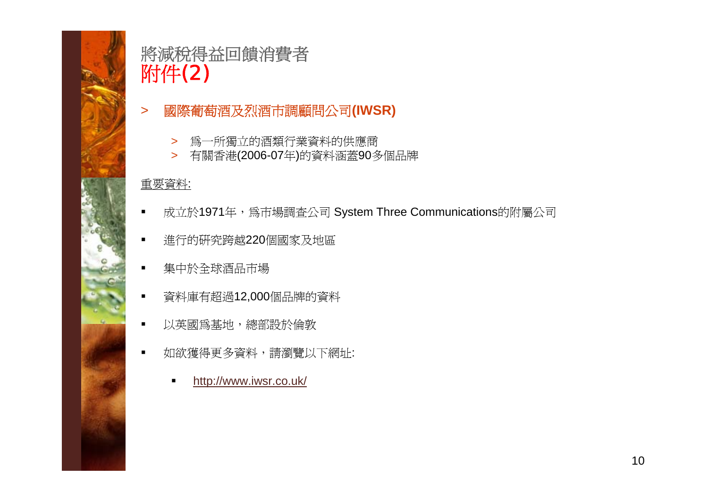

# 將減稅得益回饋消費者 附件(2)

- $\geq$  國際葡萄酒及烈酒市調顧問公司**(IWSR)**
	- > 為一所獨立的酒類行業資料的供應商
	- > 有關香港(2006-07年)的資料涵蓋90多個品牌

#### 重要資料:

- $\blacksquare$ 成立於1971年,為市場調査公司 System Three Communications的附屬公司
- $\blacksquare$ 進行的研究跨越220個國家及地區
- $\blacksquare$ 集中於全球酒品市場
- 資料庫有超過12,000個品牌的資料
- $\blacksquare$ 以英國為基地,總部設於倫敦
- $\blacksquare$  如欲獲得更多資料,請瀏覽以下網址:
	- $\blacksquare$ http://www.iwsr.co.uk/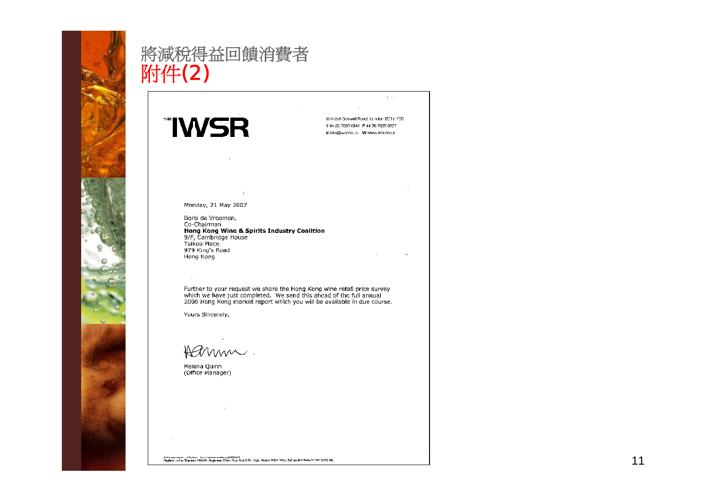

# 將減稅得益回饋消費者<br><mark>附件(2)</mark>

**"IWSR** 

254-258 Goswall Road, London EC1V 7EB T-44 20 7089 6841 F-44 20 7689 6027 Einin@iascopus\_Wieww.wsten.uk

 $\sim$   $\sim$ 

Monday, 21 May 2007

 $\mathbf{r}$ 

 $\sim$ 

Borls de Vroomen, Co-Chairman Hong Kong Wine & Spirits Industry Coalition<br>9/F, Cambridge House Taikoo Place 979 King's Road Hong Kong

Further to your request we share the Hong Kong wine retail price survey which we have just completed. We send this ahead of the full annual 2006 Hong Kong market report which you will be available in due course.

Yours Sincerely,

 $\mathbb{R}^2$ 

Harmm.

Helena Quinn (Office Manager)

A immga wan tu Spiran. Tana tammin sa inina (1981) lat.<br>Dagbina un kut Jing ana 1886 (01. Dagbinan Chica: Raw Hunt S Co., Ago. House, Agor. Maya: Fulkam Brochway London SWIG 18.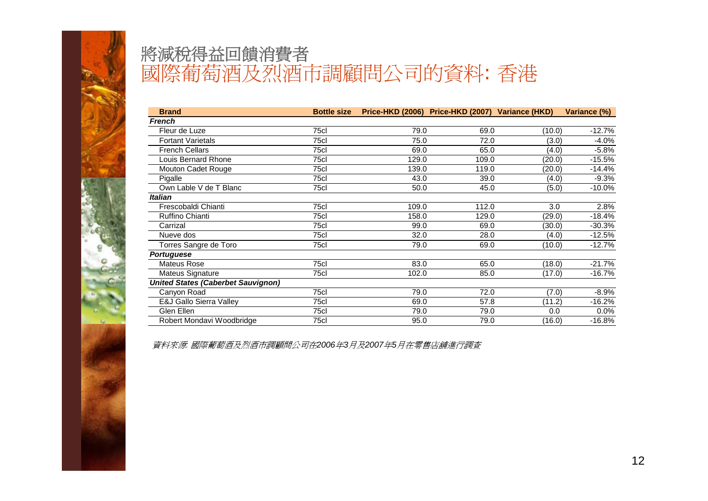

| <b>Brand</b>                              | <b>Bottle size</b> |       | Price-HKD (2006) Price-HKD (2007) Variance (HKD) |        | Variance (%) |
|-------------------------------------------|--------------------|-------|--------------------------------------------------|--------|--------------|
| French                                    |                    |       |                                                  |        |              |
| Fleur de Luze                             | 75cl               | 79.0  | 69.0                                             | (10.0) | $-12.7%$     |
| <b>Fortant Varietals</b>                  | 75cl               | 75.0  | 72.0                                             | (3.0)  | $-4.0%$      |
| <b>French Cellars</b>                     | 75cl               | 69.0  | 65.0                                             | (4.0)  | $-5.8%$      |
| Louis Bernard Rhone                       | 75cl               | 129.0 | 109.0                                            | (20.0) | $-15.5%$     |
| Mouton Cadet Rouge                        | 75cl               | 139.0 | 119.0                                            | (20.0) | $-14.4%$     |
| Pigalle                                   | 75cl               | 43.0  | 39.0                                             | (4.0)  | $-9.3%$      |
| Own Lable V de T Blanc                    | 75cl               | 50.0  | 45.0                                             | (5.0)  | $-10.0%$     |
| <b>Italian</b>                            |                    |       |                                                  |        |              |
| Frescobaldi Chianti                       | 75cl               | 109.0 | 112.0                                            | 3.0    | 2.8%         |
| Ruffino Chianti                           | 75cl               | 158.0 | 129.0                                            | (29.0) | $-18.4%$     |
| Carrizal                                  | 75cl               | 99.0  | 69.0                                             | (30.0) | $-30.3%$     |
| Nueve dos                                 | 75cl               | 32.0  | 28.0                                             | (4.0)  | $-12.5%$     |
| Torres Sangre de Toro                     | 75cl               | 79.0  | 69.0                                             | (10.0) | $-12.7%$     |
| <b>Portuguese</b>                         |                    |       |                                                  |        |              |
| <b>Mateus Rose</b>                        | 75cl               | 83.0  | 65.0                                             | (18.0) | $-21.7%$     |
| Mateus Signature                          | 75cl               | 102.0 | 85.0                                             | (17.0) | $-16.7%$     |
| <b>United States (Caberbet Sauvignon)</b> |                    |       |                                                  |        |              |
| Canyon Road                               | 75cl               | 79.0  | 72.0                                             | (7.0)  | $-8.9%$      |
| E&J Gallo Sierra Valley                   | 75cl               | 69.0  | 57.8                                             | (11.2) | $-16.2%$     |
| Glen Ellen                                | 75cl               | 79.0  | 79.0                                             | 0.0    | $0.0\%$      |
| Robert Mondavi Woodbridge                 | 75cl               | 95.0  | 79.0                                             | (16.0) | $-16.8%$     |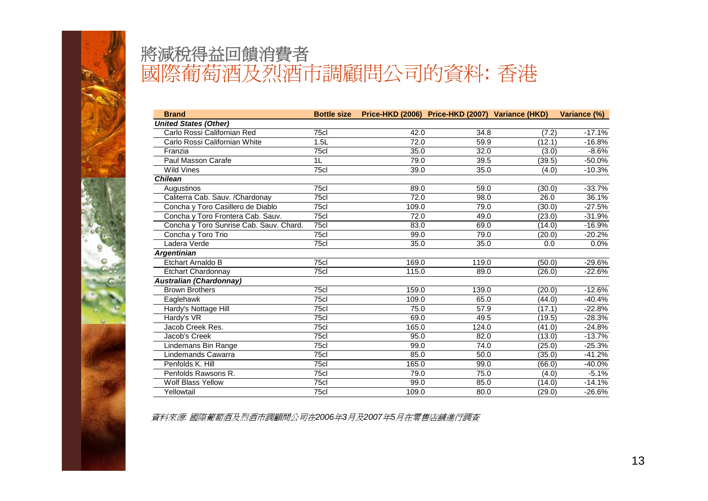

| <b>Brand</b>                            |      | Bottle size Price-HKD (2006) Price-HKD (2007) Variance (HKD) |       |        | Variance (%) |
|-----------------------------------------|------|--------------------------------------------------------------|-------|--------|--------------|
| <b>United States (Other)</b>            |      |                                                              |       |        |              |
| Carlo Rossi Californian Red             | 75cl | 42.0                                                         | 34.8  | (7.2)  | $-17.1%$     |
| Carlo Rossi Californian White           | 1.5L | 72.0                                                         | 59.9  | (12.1) | $-16.8%$     |
| Franzia                                 | 75cl | 35.0                                                         | 32.0  | (3.0)  | $-8.6%$      |
| Paul Masson Carafe                      | 1L   | 79.0                                                         | 39.5  | (39.5) | $-50.0%$     |
| Wild Vines                              | 75cl | 39.0                                                         | 35.0  | (4.0)  | $-10.3%$     |
| <b>Chilean</b>                          |      |                                                              |       |        |              |
| Augustinos                              | 75cl | 89.0                                                         | 59.0  | (30.0) | $-33.7%$     |
| Caliterra Cab. Sauv. / Chardonay        | 75cl | 72.0                                                         | 98.0  | 26.0   | 36.1%        |
| Concha y Toro Casillero de Diablo       | 75cl | 109.0                                                        | 79.0  | (30.0) | $-27.5%$     |
| Concha y Toro Frontera Cab. Sauv.       | 75cl | 72.0                                                         | 49.0  | (23.0) | $-31.9%$     |
| Concha y Toro Sunrise Cab. Sauv. Chard. | 75cl | 83.0                                                         | 69.0  | (14.0) | $-16.9%$     |
| Concha y Toro Trio                      | 75c  | 99.0                                                         | 79.0  | (20.0) | $-20.2%$     |
| Ladera Verde                            | 75cl | 35.0                                                         | 35.0  | 0.0    | 0.0%         |
| <b>Argentinian</b>                      |      |                                                              |       |        |              |
| Etchart Arnaldo B                       | 75cl | 169.0                                                        | 119.0 | (50.0) | $-29.6%$     |
| <b>Etchart Chardonnay</b>               | 75cl | 115.0                                                        | 89.0  | (26.0) | $-22.6%$     |
| <b>Australian (Chardonnay)</b>          |      |                                                              |       |        |              |
| <b>Brown Brothers</b>                   | 75cl | 159.0                                                        | 139.0 | (20.0) | $-12.6%$     |
| Eaglehawk                               | 75cl | 109.0                                                        | 65.0  | (44.0) | $-40.4%$     |
| Hardy's Nottage Hill                    | 75cl | 75.0                                                         | 57.9  | (17.1) | $-22.8%$     |
| Hardy's VR                              | 75cl | 69.0                                                         | 49.5  | (19.5) | $-28.3%$     |
| Jacob Creek Res.                        | 75cl | 165.0                                                        | 124.0 | (41.0) | $-24.8%$     |
| Jacob's Creek                           | 75cl | 95.0                                                         | 82.0  | (13.0) | $-13.7%$     |
| Lindemans Bin Range                     | 75cl | 99.0                                                         | 74.0  | (25.0) | $-25.3%$     |
| Lindemands Cawarra                      | 75cl | 85.0                                                         | 50.0  | (35.0) | $-41.2%$     |
| Penfolds K. Hill                        | 75cl | 165.0                                                        | 99.0  | (66.0) | $-40.0%$     |
| Penfolds Rawsons R.                     | 75cl | 79.0                                                         | 75.0  | (4.0)  | $-5.1%$      |
| <b>Wolf Blass Yellow</b>                | 75cl | 99.0                                                         | 85.0  | (14.0) | $-14.1%$     |
| Yellowtail                              | 75cl | 109.0                                                        | 80.0  | (29.0) | $-26.6%$     |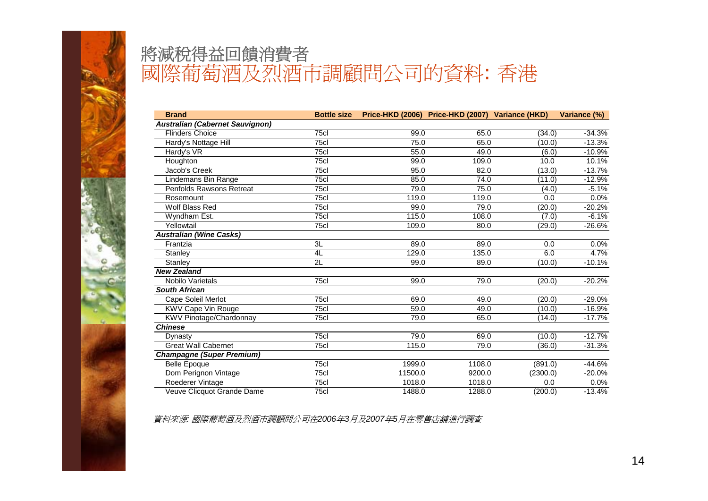

| <b>Brand</b>                           | <b>Bottle size</b> |         | Price-HKD (2006) Price-HKD (2007) Variance (HKD) |          | Variance (%) |
|----------------------------------------|--------------------|---------|--------------------------------------------------|----------|--------------|
| <b>Australian (Cabernet Sauvignon)</b> |                    |         |                                                  |          |              |
| <b>Flinders Choice</b>                 | 75c                | 99.0    | 65.0                                             | (34.0)   | $-34.3%$     |
| Hardy's Nottage Hill                   | 75cl               | 75.0    | 65.0                                             | (10.0)   | $-13.3%$     |
| Hardy's VR                             | 75cl               | 55.0    | 49.0                                             | (6.0)    | $-10.9%$     |
| Houghton                               | 75cl               | 99.0    | 109.0                                            | 10.0     | 10.1%        |
| Jacob's Creek                          | 75cl               | 95.0    | 82.0                                             | (13.0)   | $-13.7%$     |
| Lindemans Bin Range                    | 75cl               | 85.0    | 74.0                                             | (11.0)   | $-12.9%$     |
| Penfolds Rawsons Retreat               | 75cl               | 79.0    | 75.0                                             | (4.0)    | $-5.1%$      |
| Rosemount                              | 75cl               | 119.0   | 119.0                                            | 0.0      | 0.0%         |
| Wolf Blass Red                         | 75cl               | 99.0    | 79.0                                             | (20.0)   | $-20.2%$     |
| Wyndham Est.                           | 75cl               | 115.0   | 108.0                                            | (7.0)    | $-6.1%$      |
| Yellowtail                             | 75cl               | 109.0   | 80.0                                             | (29.0)   | $-26.6%$     |
| <b>Australian (Wine Casks)</b>         |                    |         |                                                  |          |              |
| Frantzia                               | 3L                 | 89.0    | 89.0                                             | 0.0      | 0.0%         |
| Stanley                                | 4L                 | 129.0   | 135.0                                            | 6.0      | 4.7%         |
| Stanley                                | 2L                 | 99.0    | 89.0                                             | (10.0)   | $-10.1%$     |
| <b>New Zealand</b>                     |                    |         |                                                  |          |              |
| Nobilo Varietals                       | 75c                | 99.0    | 79.0                                             | (20.0)   | $-20.2%$     |
| <b>South African</b>                   |                    |         |                                                  |          |              |
| Cape Soleil Merlot                     | 75cl               | 69.0    | 49.0                                             | (20.0)   | $-29.0%$     |
| KWV Cape Vin Rouge                     | 75cl               | 59.0    | 49.0                                             | (10.0)   | $-16.9%$     |
| KWV Pinotage/Chardonnay                | 75c                | 79.0    | 65.0                                             | (14.0)   | $-17.7%$     |
| <b>Chinese</b>                         |                    |         |                                                  |          |              |
| Dynasty                                | 75cl               | 79.0    | 69.0                                             | (10.0)   | $-12.7%$     |
| <b>Great Wall Cabernet</b>             | 75cl               | 115.0   | 79.0                                             | (36.0)   | $-31.3%$     |
| <b>Champagne (Super Premium)</b>       |                    |         |                                                  |          |              |
| <b>Belle Epoque</b>                    | 75cl               | 1999.0  | 1108.0                                           | (891.0)  | $-44.6%$     |
| Dom Perignon Vintage                   | 75cl               | 11500.0 | 9200.0                                           | (2300.0) | $-20.0%$     |
| Roederer Vintage                       | 75cl               | 1018.0  | 1018.0                                           | 0.0      | 0.0%         |
| Veuve Clicquot Grande Dame             | 75cl               | 1488.0  | 1288.0                                           | (200.0)  | $-13.4%$     |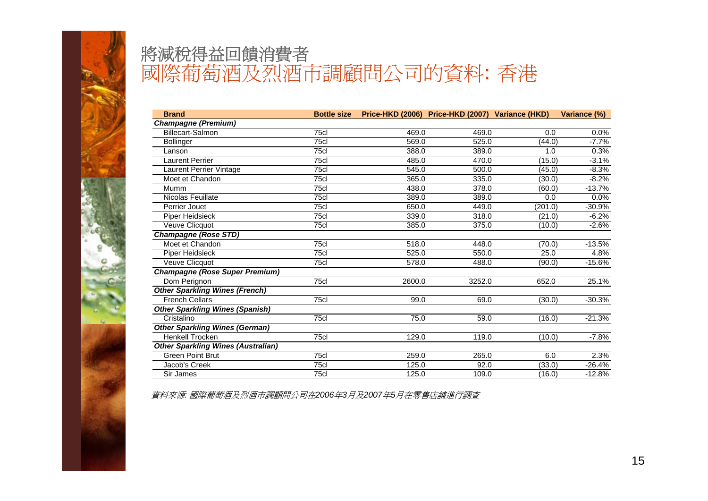

| <b>Brand</b>                              | <b>Bottle size</b> |        | Price-HKD (2006) Price-HKD (2007) Variance (HKD) |         | Variance (%) |
|-------------------------------------------|--------------------|--------|--------------------------------------------------|---------|--------------|
| <b>Champagne (Premium)</b>                |                    |        |                                                  |         |              |
| Billecart-Salmon                          | 75c                | 469.0  | 469.0                                            | 0.0     | 0.0%         |
| <b>Bollinger</b>                          | 75cl               | 569.0  | 525.0                                            | (44.0)  | $-7.7%$      |
| Lanson                                    | 75cl               | 388.0  | 389.0                                            | 1.0     | 0.3%         |
| <b>Laurent Perrier</b>                    | 75c                | 485.0  | 470.0                                            | (15.0)  | $-3.1%$      |
| Laurent Perrier Vintage                   | 75cl               | 545.0  | 500.0                                            | (45.0)  | $-8.3%$      |
| Moet et Chandon                           | 75c                | 365.0  | 335.0                                            | (30.0)  | $-8.2%$      |
| Mumm                                      | 75c                | 438.0  | 378.0                                            | (60.0)  | $-13.7%$     |
| Nicolas Feuillate                         | 75c                | 389.0  | 389.0                                            | 0.0     | 0.0%         |
| Perrier Jouet                             | 75cl               | 650.0  | 449.0                                            | (201.0) | $-30.9%$     |
| Piper Heidsieck                           | 75cl               | 339.0  | 318.0                                            | (21.0)  | $-6.2%$      |
| Veuve Clicquot                            | 75cl               | 385.0  | 375.0                                            | (10.0)  | $-2.6%$      |
| <b>Champagne (Rose STD)</b>               |                    |        |                                                  |         |              |
| Moet et Chandon                           | 75cl               | 518.0  | 448.0                                            | (70.0)  | $-13.5%$     |
| Piper Heidsieck                           | 75cl               | 525.0  | 550.0                                            | 25.0    | 4.8%         |
| Veuve Clicquot                            | 75c                | 578.0  | 488.0                                            | (90.0)  | $-15.6%$     |
| <b>Champagne (Rose Super Premium)</b>     |                    |        |                                                  |         |              |
| Dom Perignon                              | 75cl               | 2600.0 | 3252.0                                           | 652.0   | 25.1%        |
| <b>Other Sparkling Wines (French)</b>     |                    |        |                                                  |         |              |
| <b>French Cellars</b>                     | 75cl               | 99.0   | 69.0                                             | (30.0)  | $-30.3%$     |
| <b>Other Sparkling Wines (Spanish)</b>    |                    |        |                                                  |         |              |
| Cristalino                                | 75cl               | 75.0   | 59.0                                             | (16.0)  | $-21.3%$     |
| <b>Other Sparkling Wines (German)</b>     |                    |        |                                                  |         |              |
| <b>Henkell Trocken</b>                    | 75cl               | 129.0  | 119.0                                            | (10.0)  | $-7.8%$      |
| <b>Other Sparkling Wines (Australian)</b> |                    |        |                                                  |         |              |
| <b>Green Point Brut</b>                   | 75cl               | 259.0  | 265.0                                            | 6.0     | 2.3%         |
| Jacob's Creek                             | 75cl               | 125.0  | 92.0                                             | (33.0)  | $-26.4%$     |
| Sir James                                 | 75cl               | 125.0  | 109.0                                            | (16.0)  | $-12.8%$     |